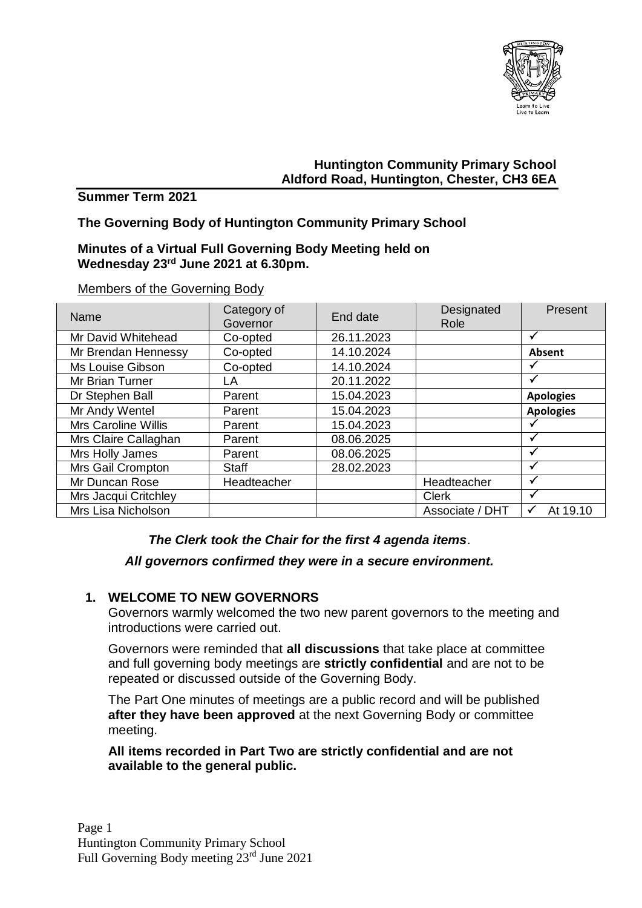

# **Huntington Community Primary School Aldford Road, Huntington, Chester, CH3 6EA**

### **Summer Term 2021**

## **The Governing Body of Huntington Community Primary School**

#### **Minutes of a Virtual Full Governing Body Meeting held on Wednesday 23rd June 2021 at 6.30pm.**

| Name                       | Category of<br>Governor | End date   | Designated<br>Role | Present                  |
|----------------------------|-------------------------|------------|--------------------|--------------------------|
| Mr David Whitehead         | Co-opted                | 26.11.2023 |                    |                          |
| Mr Brendan Hennessy        | Co-opted                | 14.10.2024 |                    | Absent                   |
| Ms Louise Gibson           | Co-opted                | 14.10.2024 |                    |                          |
| Mr Brian Turner            | LA                      | 20.11.2022 |                    |                          |
| Dr Stephen Ball            | Parent                  | 15.04.2023 |                    | <b>Apologies</b>         |
| Mr Andy Wentel             | Parent                  | 15.04.2023 |                    | <b>Apologies</b>         |
| <b>Mrs Caroline Willis</b> | Parent                  | 15.04.2023 |                    |                          |
| Mrs Claire Callaghan       | Parent                  | 08.06.2025 |                    |                          |
| Mrs Holly James            | Parent                  | 08.06.2025 |                    |                          |
| Mrs Gail Crompton          | Staff                   | 28.02.2023 |                    |                          |
| Mr Duncan Rose             | Headteacher             |            | Headteacher        |                          |
| Mrs Jacqui Critchley       |                         |            | <b>Clerk</b>       |                          |
| Mrs Lisa Nicholson         |                         |            | Associate / DHT    | At 19.10<br>$\checkmark$ |

#### Members of the Governing Body

### *The Clerk took the Chair for the first 4 agenda items*.

### *All governors confirmed they were in a secure environment.*

### **1. WELCOME TO NEW GOVERNORS**

Governors warmly welcomed the two new parent governors to the meeting and introductions were carried out.

Governors were reminded that **all discussions** that take place at committee and full governing body meetings are **strictly confidential** and are not to be repeated or discussed outside of the Governing Body.

The Part One minutes of meetings are a public record and will be published **after they have been approved** at the next Governing Body or committee meeting.

**All items recorded in Part Two are strictly confidential and are not available to the general public.**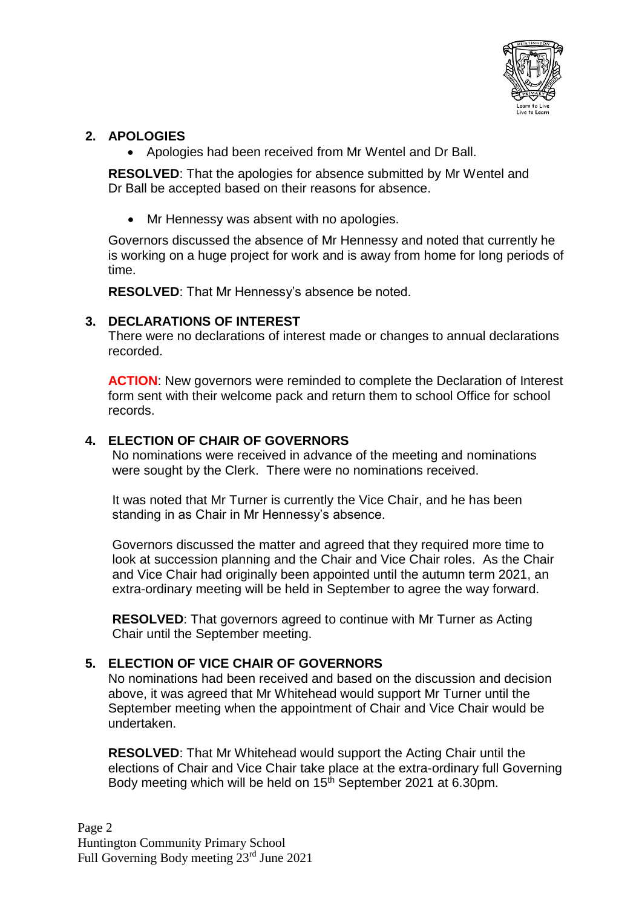

# **2. APOLOGIES**

• Apologies had been received from Mr Wentel and Dr Ball.

**RESOLVED**: That the apologies for absence submitted by Mr Wentel and Dr Ball be accepted based on their reasons for absence.

• Mr Hennessy was absent with no apologies.

Governors discussed the absence of Mr Hennessy and noted that currently he is working on a huge project for work and is away from home for long periods of time.

**RESOLVED**: That Mr Hennessy's absence be noted.

## **3. DECLARATIONS OF INTEREST**

There were no declarations of interest made or changes to annual declarations recorded.

**ACTION:** New governors were reminded to complete the Declaration of Interest form sent with their welcome pack and return them to school Office for school records.

## **4. ELECTION OF CHAIR OF GOVERNORS**

No nominations were received in advance of the meeting and nominations were sought by the Clerk. There were no nominations received.

It was noted that Mr Turner is currently the Vice Chair, and he has been standing in as Chair in Mr Hennessy's absence.

Governors discussed the matter and agreed that they required more time to look at succession planning and the Chair and Vice Chair roles. As the Chair and Vice Chair had originally been appointed until the autumn term 2021, an extra-ordinary meeting will be held in September to agree the way forward.

**RESOLVED**: That governors agreed to continue with Mr Turner as Acting Chair until the September meeting.

# **5. ELECTION OF VICE CHAIR OF GOVERNORS**

No nominations had been received and based on the discussion and decision above, it was agreed that Mr Whitehead would support Mr Turner until the September meeting when the appointment of Chair and Vice Chair would be undertaken.

**RESOLVED**: That Mr Whitehead would support the Acting Chair until the elections of Chair and Vice Chair take place at the extra-ordinary full Governing Body meeting which will be held on 15<sup>th</sup> September 2021 at 6.30pm.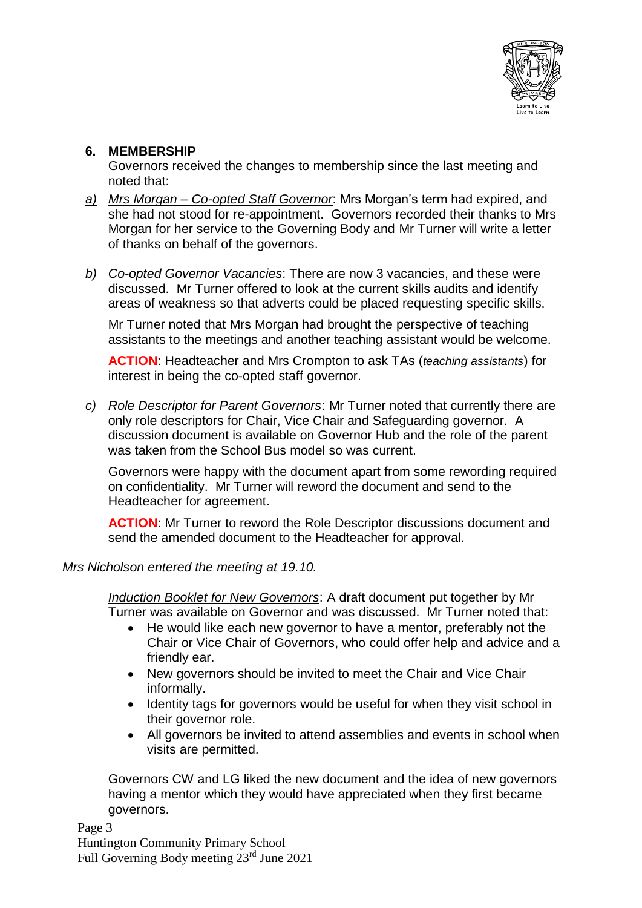

## **6. MEMBERSHIP**

Governors received the changes to membership since the last meeting and noted that:

- *a) Mrs Morgan – Co-opted Staff Governor*: Mrs Morgan's term had expired, and she had not stood for re-appointment. Governors recorded their thanks to Mrs Morgan for her service to the Governing Body and Mr Turner will write a letter of thanks on behalf of the governors.
- *b) Co-opted Governor Vacancies*: There are now 3 vacancies, and these were discussed. Mr Turner offered to look at the current skills audits and identify areas of weakness so that adverts could be placed requesting specific skills.

Mr Turner noted that Mrs Morgan had brought the perspective of teaching assistants to the meetings and another teaching assistant would be welcome.

**ACTION**: Headteacher and Mrs Crompton to ask TAs (*teaching assistants*) for interest in being the co-opted staff governor.

*c) Role Descriptor for Parent Governors*: Mr Turner noted that currently there are only role descriptors for Chair, Vice Chair and Safeguarding governor. A discussion document is available on Governor Hub and the role of the parent was taken from the School Bus model so was current.

Governors were happy with the document apart from some rewording required on confidentiality. Mr Turner will reword the document and send to the Headteacher for agreement.

**ACTION:** Mr Turner to reword the Role Descriptor discussions document and send the amended document to the Headteacher for approval.

*Mrs Nicholson entered the meeting at 19.10.*

*Induction Booklet for New Governors*: A draft document put together by Mr Turner was available on Governor and was discussed. Mr Turner noted that:

- He would like each new governor to have a mentor, preferably not the Chair or Vice Chair of Governors, who could offer help and advice and a friendly ear.
- New governors should be invited to meet the Chair and Vice Chair informally.
- Identity tags for governors would be useful for when they visit school in their governor role.
- All governors be invited to attend assemblies and events in school when visits are permitted.

Governors CW and LG liked the new document and the idea of new governors having a mentor which they would have appreciated when they first became governors.

Page 3 Huntington Community Primary School Full Governing Body meeting 23rd June 2021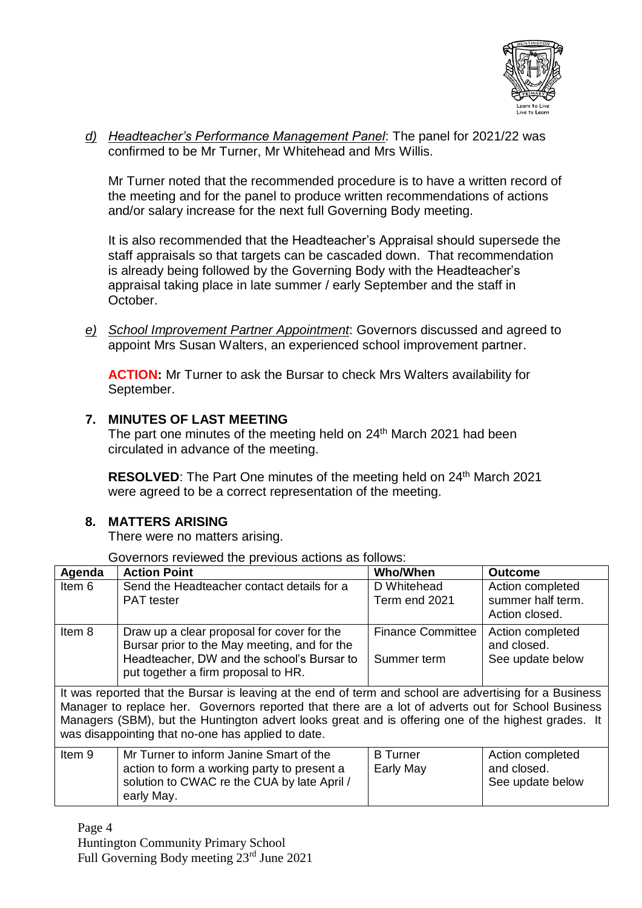

*d) Headteacher's Performance Management Panel*: The panel for 2021/22 was confirmed to be Mr Turner, Mr Whitehead and Mrs Willis.

Mr Turner noted that the recommended procedure is to have a written record of the meeting and for the panel to produce written recommendations of actions and/or salary increase for the next full Governing Body meeting.

It is also recommended that the Headteacher's Appraisal should supersede the staff appraisals so that targets can be cascaded down. That recommendation is already being followed by the Governing Body with the Headteacher's appraisal taking place in late summer / early September and the staff in October.

*e) School Improvement Partner Appointment*: Governors discussed and agreed to appoint Mrs Susan Walters, an experienced school improvement partner.

**ACTION:** Mr Turner to ask the Bursar to check Mrs Walters availability for September.

# **7. MINUTES OF LAST MEETING**

The part one minutes of the meeting held on 24<sup>th</sup> March 2021 had been circulated in advance of the meeting.

**RESOLVED:** The Part One minutes of the meeting held on 24<sup>th</sup> March 2021 were agreed to be a correct representation of the meeting.

### **8. MATTERS ARISING**

There were no matters arising.

Governors reviewed the previous actions as follows:

| Agenda                                                                                                                                                                                                                                                                                                                                                                     | <b>Action Point</b>                                                                                                                                                             | <b>Who/When</b>                         | <b>Outcome</b>                                          |
|----------------------------------------------------------------------------------------------------------------------------------------------------------------------------------------------------------------------------------------------------------------------------------------------------------------------------------------------------------------------------|---------------------------------------------------------------------------------------------------------------------------------------------------------------------------------|-----------------------------------------|---------------------------------------------------------|
| Item 6                                                                                                                                                                                                                                                                                                                                                                     | Send the Headteacher contact details for a<br><b>PAT</b> tester                                                                                                                 | D Whitehead<br>Term end 2021            | Action completed<br>summer half term.<br>Action closed. |
| Item 8                                                                                                                                                                                                                                                                                                                                                                     | Draw up a clear proposal for cover for the<br>Bursar prior to the May meeting, and for the<br>Headteacher, DW and the school's Bursar to<br>put together a firm proposal to HR. | <b>Finance Committee</b><br>Summer term | Action completed<br>and closed.<br>See update below     |
| It was reported that the Bursar is leaving at the end of term and school are advertising for a Business<br>Manager to replace her. Governors reported that there are a lot of adverts out for School Business<br>Managers (SBM), but the Huntington advert looks great and is offering one of the highest grades. It<br>was disappointing that no-one has applied to date. |                                                                                                                                                                                 |                                         |                                                         |
| Item 9                                                                                                                                                                                                                                                                                                                                                                     | Mr Turner to inform Janine Smart of the<br>action to form a working party to present a<br>solution to CWAC re the CUA by late April /<br>early May.                             | <b>B</b> Turner<br>Early May            | Action completed<br>and closed.<br>See update below     |

Page 4 Huntington Community Primary School Full Governing Body meeting 23rd June 2021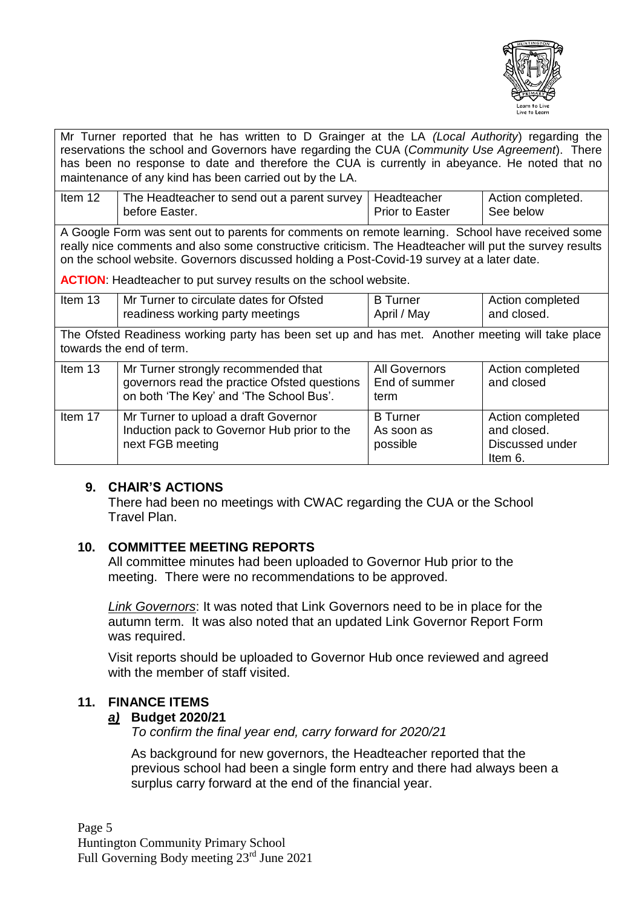

Mr Turner reported that he has written to D Grainger at the LA *(Local Authority*) regarding the reservations the school and Governors have regarding the CUA (*Community Use Agreement*). There has been no response to date and therefore the CUA is currently in abeyance. He noted that no maintenance of any kind has been carried out by the LA.

| Item 12 | The Headteacher to send out a parent survey   Headteacher |                 | Action completed. |
|---------|-----------------------------------------------------------|-----------------|-------------------|
|         | before Easter.                                            | Prior to Easter | See below         |

A Google Form was sent out to parents for comments on remote learning. School have received some really nice comments and also some constructive criticism. The Headteacher will put the survey results on the school website. Governors discussed holding a Post-Covid-19 survey at a later date.

**ACTION**: Headteacher to put survey results on the school website.

| Item 13                                                                                                                     | Mr Turner to circulate dates for Ofsted<br>readiness working party meetings                                                    | <b>B</b> Turner<br>April / May            | Action completed<br>and closed.                               |
|-----------------------------------------------------------------------------------------------------------------------------|--------------------------------------------------------------------------------------------------------------------------------|-------------------------------------------|---------------------------------------------------------------|
| The Ofsted Readiness working party has been set up and has met. Another meeting will take place<br>towards the end of term. |                                                                                                                                |                                           |                                                               |
| Item 13                                                                                                                     | Mr Turner strongly recommended that<br>governors read the practice Ofsted questions<br>on both 'The Key' and 'The School Bus'. | All Governors<br>End of summer<br>term    | Action completed<br>and closed                                |
| Item 17                                                                                                                     | Mr Turner to upload a draft Governor<br>Induction pack to Governor Hub prior to the<br>next FGB meeting                        | <b>B</b> Turner<br>As soon as<br>possible | Action completed<br>and closed.<br>Discussed under<br>Item 6. |

### **9. CHAIR'S ACTIONS**

There had been no meetings with CWAC regarding the CUA or the School Travel Plan.

### **10. COMMITTEE MEETING REPORTS**

All committee minutes had been uploaded to Governor Hub prior to the meeting. There were no recommendations to be approved.

*Link Governors*: It was noted that Link Governors need to be in place for the autumn term. It was also noted that an updated Link Governor Report Form was required.

Visit reports should be uploaded to Governor Hub once reviewed and agreed with the member of staff visited.

### **11. FINANCE ITEMS**

### *a)* **Budget 2020/21**

*To confirm the final year end, carry forward for 2020/21*

As background for new governors, the Headteacher reported that the previous school had been a single form entry and there had always been a surplus carry forward at the end of the financial year.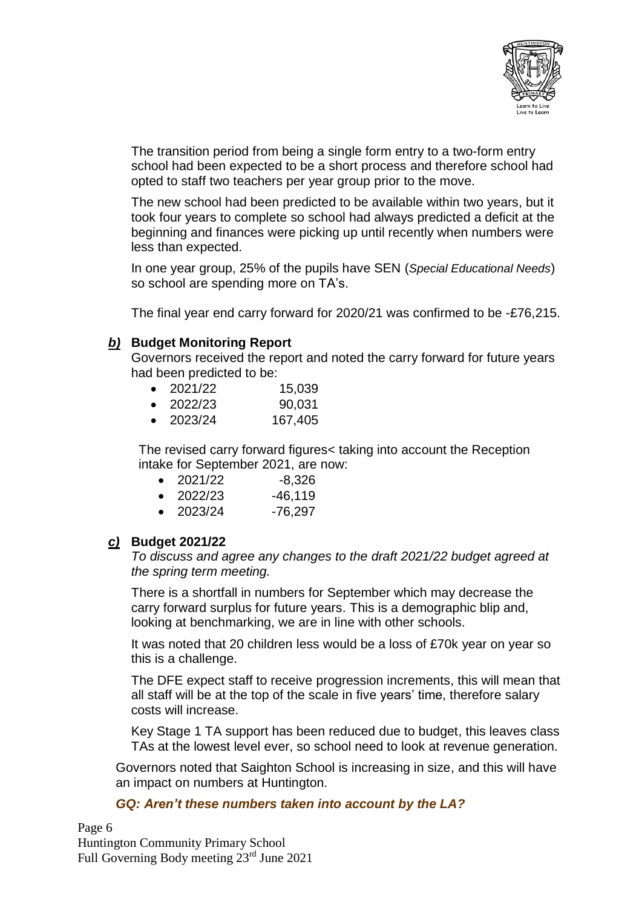

The transition period from being a single form entry to a two-form entry school had been expected to be a short process and therefore school had opted to staff two teachers per year group prior to the move.

The new school had been predicted to be available within two years, but it took four years to complete so school had always predicted a deficit at the beginning and finances were picking up until recently when numbers were less than expected.

In one year group, 25% of the pupils have SEN (*Special Educational Needs*) so school are spending more on TA's.

The final year end carry forward for 2020/21 was confirmed to be -£76,215.

#### *b)* **Budget Monitoring Report**

Governors received the report and noted the carry forward for future years had been predicted to be:

- 2021/22 15,039
- 2022/23 90,031
- 2023/24 167,405

The revised carry forward figures< taking into account the Reception intake for September 2021, are now:

- $\bullet$  2021/22  $\bullet$  -8.326
- $\bullet$  2022/23  $-46,119$
- $\bullet$  2023/24 -76,297

### *c)* **Budget 2021/22**

*To discuss and agree any changes to the draft 2021/22 budget agreed at the spring term meeting.*

There is a shortfall in numbers for September which may decrease the carry forward surplus for future years. This is a demographic blip and, looking at benchmarking, we are in line with other schools.

It was noted that 20 children less would be a loss of £70k year on year so this is a challenge.

The DFE expect staff to receive progression increments, this will mean that all staff will be at the top of the scale in five years' time, therefore salary costs will increase.

Key Stage 1 TA support has been reduced due to budget, this leaves class TAs at the lowest level ever, so school need to look at revenue generation.

Governors noted that Saighton School is increasing in size, and this will have an impact on numbers at Huntington.

#### *GQ: Aren't these numbers taken into account by the LA?*

Page 6 Huntington Community Primary School Full Governing Body meeting 23rd June 2021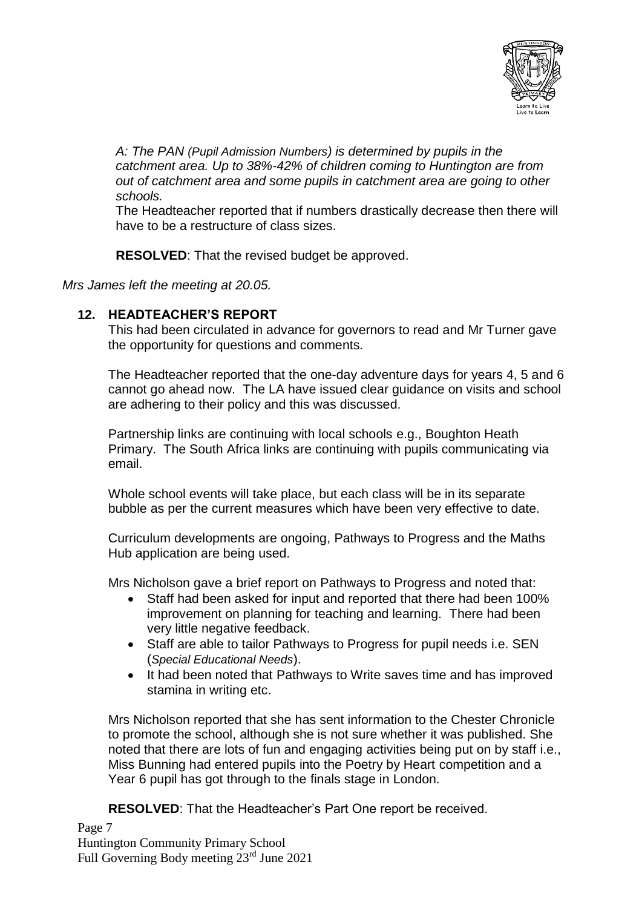

*A: The PAN (Pupil Admission Numbers) is determined by pupils in the catchment area. Up to 38%-42% of children coming to Huntington are from out of catchment area and some pupils in catchment area are going to other schools.*

The Headteacher reported that if numbers drastically decrease then there will have to be a restructure of class sizes.

**RESOLVED**: That the revised budget be approved.

### *Mrs James left the meeting at 20.05.*

# **12. HEADTEACHER'S REPORT**

This had been circulated in advance for governors to read and Mr Turner gave the opportunity for questions and comments.

The Headteacher reported that the one-day adventure days for years 4, 5 and 6 cannot go ahead now. The LA have issued clear guidance on visits and school are adhering to their policy and this was discussed.

Partnership links are continuing with local schools e.g., Boughton Heath Primary. The South Africa links are continuing with pupils communicating via email.

Whole school events will take place, but each class will be in its separate bubble as per the current measures which have been very effective to date.

Curriculum developments are ongoing, Pathways to Progress and the Maths Hub application are being used.

Mrs Nicholson gave a brief report on Pathways to Progress and noted that:

- Staff had been asked for input and reported that there had been 100% improvement on planning for teaching and learning. There had been very little negative feedback.
- Staff are able to tailor Pathways to Progress for pupil needs i.e. SEN (*Special Educational Needs*).
- It had been noted that Pathways to Write saves time and has improved stamina in writing etc.

Mrs Nicholson reported that she has sent information to the Chester Chronicle to promote the school, although she is not sure whether it was published. She noted that there are lots of fun and engaging activities being put on by staff i.e., Miss Bunning had entered pupils into the Poetry by Heart competition and a Year 6 pupil has got through to the finals stage in London.

**RESOLVED**: That the Headteacher's Part One report be received.

Page 7 Huntington Community Primary School Full Governing Body meeting 23rd June 2021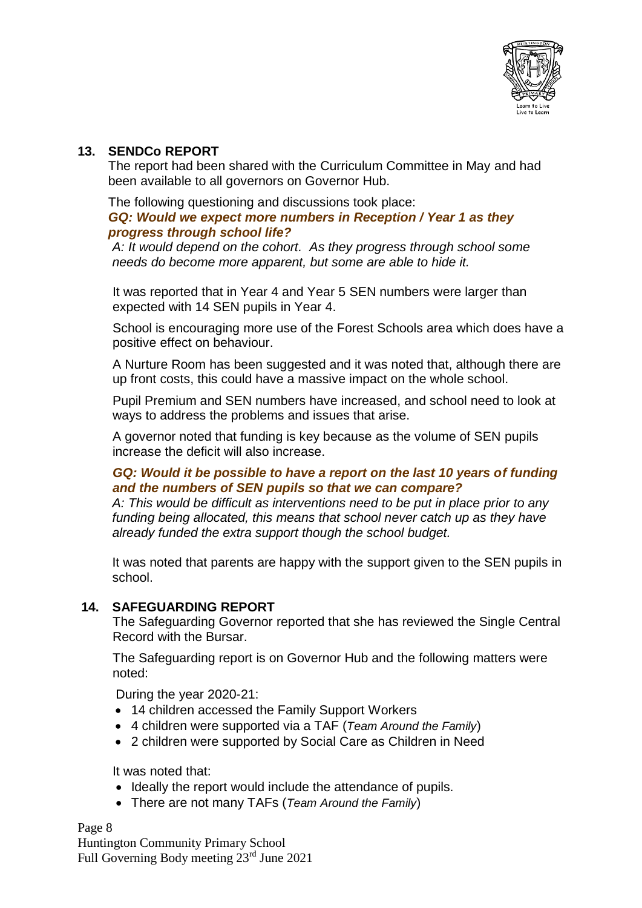

# **13. SENDCo REPORT**

The report had been shared with the Curriculum Committee in May and had been available to all governors on Governor Hub.

#### The following questioning and discussions took place: *GQ: Would we expect more numbers in Reception / Year 1 as they progress through school life?*

*A: It would depend on the cohort. As they progress through school some needs do become more apparent, but some are able to hide it.*

It was reported that in Year 4 and Year 5 SEN numbers were larger than expected with 14 SEN pupils in Year 4.

School is encouraging more use of the Forest Schools area which does have a positive effect on behaviour.

A Nurture Room has been suggested and it was noted that, although there are up front costs, this could have a massive impact on the whole school.

Pupil Premium and SEN numbers have increased, and school need to look at ways to address the problems and issues that arise.

A governor noted that funding is key because as the volume of SEN pupils increase the deficit will also increase.

## *GQ: Would it be possible to have a report on the last 10 years of funding and the numbers of SEN pupils so that we can compare?*

*A: This would be difficult as interventions need to be put in place prior to any funding being allocated, this means that school never catch up as they have already funded the extra support though the school budget.*

It was noted that parents are happy with the support given to the SEN pupils in school.

# **14. SAFEGUARDING REPORT**

The Safeguarding Governor reported that she has reviewed the Single Central Record with the Bursar.

The Safeguarding report is on Governor Hub and the following matters were noted:

During the year 2020-21:

- 14 children accessed the Family Support Workers
- 4 children were supported via a TAF (*Team Around the Family*)
- 2 children were supported by Social Care as Children in Need

It was noted that:

- Ideally the report would include the attendance of pupils.
- There are not many TAFs (*Team Around the Family*)

Page 8

Huntington Community Primary School Full Governing Body meeting 23rd June 2021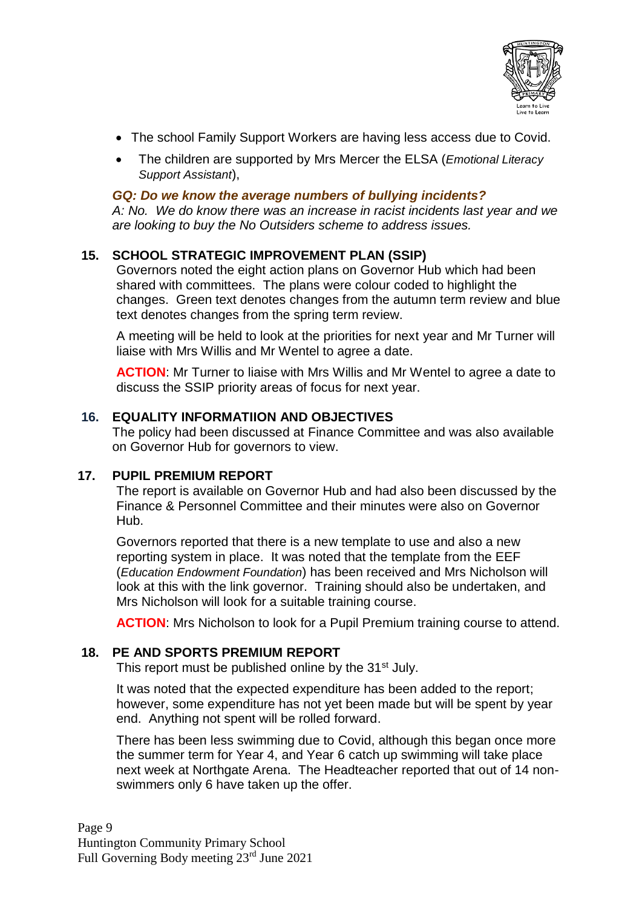

- The school Family Support Workers are having less access due to Covid.
- The children are supported by Mrs Mercer the ELSA (*Emotional Literacy Support Assistant*),

### *GQ: Do we know the average numbers of bullying incidents?*

*A: No. We do know there was an increase in racist incidents last year and we are looking to buy the No Outsiders scheme to address issues.*

# **15. SCHOOL STRATEGIC IMPROVEMENT PLAN (SSIP)**

Governors noted the eight action plans on Governor Hub which had been shared with committees. The plans were colour coded to highlight the changes. Green text denotes changes from the autumn term review and blue text denotes changes from the spring term review.

A meeting will be held to look at the priorities for next year and Mr Turner will liaise with Mrs Willis and Mr Wentel to agree a date.

**ACTION**: Mr Turner to liaise with Mrs Willis and Mr Wentel to agree a date to discuss the SSIP priority areas of focus for next year.

### **16. EQUALITY INFORMATIION AND OBJECTIVES**

The policy had been discussed at Finance Committee and was also available on Governor Hub for governors to view.

### **17. PUPIL PREMIUM REPORT**

The report is available on Governor Hub and had also been discussed by the Finance & Personnel Committee and their minutes were also on Governor Hub.

Governors reported that there is a new template to use and also a new reporting system in place. It was noted that the template from the EEF (*Education Endowment Foundation*) has been received and Mrs Nicholson will look at this with the link governor. Training should also be undertaken, and Mrs Nicholson will look for a suitable training course.

**ACTION**: Mrs Nicholson to look for a Pupil Premium training course to attend.

# **18. PE AND SPORTS PREMIUM REPORT**

This report must be published online by the 31<sup>st</sup> July.

It was noted that the expected expenditure has been added to the report; however, some expenditure has not yet been made but will be spent by year end. Anything not spent will be rolled forward.

There has been less swimming due to Covid, although this began once more the summer term for Year 4, and Year 6 catch up swimming will take place next week at Northgate Arena. The Headteacher reported that out of 14 nonswimmers only 6 have taken up the offer.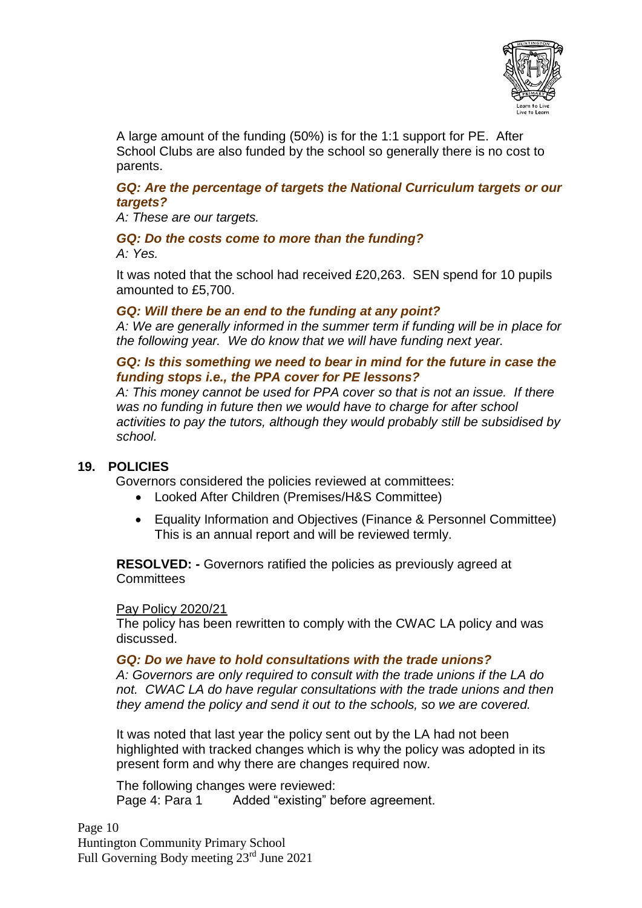

A large amount of the funding (50%) is for the 1:1 support for PE. After School Clubs are also funded by the school so generally there is no cost to parents.

## *GQ: Are the percentage of targets the National Curriculum targets or our targets?*

#### *A: These are our targets.*

### *GQ: Do the costs come to more than the funding? A: Yes.*

It was noted that the school had received £20,263. SEN spend for 10 pupils amounted to £5,700.

### *GQ: Will there be an end to the funding at any point?*

*A: We are generally informed in the summer term if funding will be in place for the following year. We do know that we will have funding next year.*

### *GQ: Is this something we need to bear in mind for the future in case the funding stops i.e., the PPA cover for PE lessons?*

*A: This money cannot be used for PPA cover so that is not an issue. If there was no funding in future then we would have to charge for after school activities to pay the tutors, although they would probably still be subsidised by school.*

# **19. POLICIES**

Governors considered the policies reviewed at committees:

- Looked After Children (Premises/H&S Committee)
- Equality Information and Objectives (Finance & Personnel Committee) This is an annual report and will be reviewed termly.

**RESOLVED: -** Governors ratified the policies as previously agreed at **Committees** 

### Pay Policy 2020/21

The policy has been rewritten to comply with the CWAC LA policy and was discussed.

### *GQ: Do we have to hold consultations with the trade unions?*

*A: Governors are only required to consult with the trade unions if the LA do not. CWAC LA do have regular consultations with the trade unions and then they amend the policy and send it out to the schools, so we are covered.*

It was noted that last year the policy sent out by the LA had not been highlighted with tracked changes which is why the policy was adopted in its present form and why there are changes required now.

The following changes were reviewed: Page 4: Para 1 Added "existing" before agreement.

Page 10 Huntington Community Primary School Full Governing Body meeting 23rd June 2021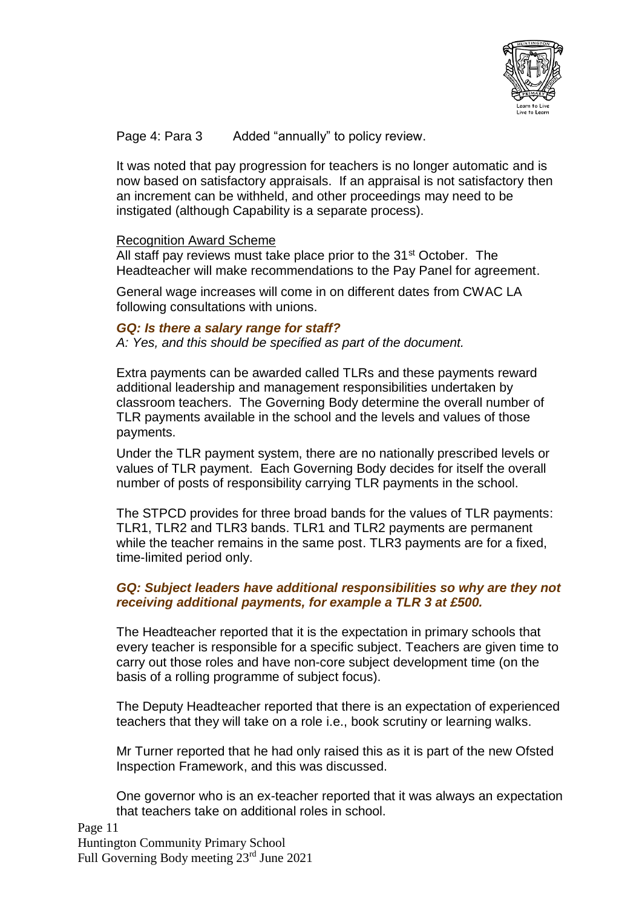

Page 4: Para 3 Added "annually" to policy review.

It was noted that pay progression for teachers is no longer automatic and is now based on satisfactory appraisals. If an appraisal is not satisfactory then an increment can be withheld, and other proceedings may need to be instigated (although Capability is a separate process).

### Recognition Award Scheme

All staff pay reviews must take place prior to the 31<sup>st</sup> October. The Headteacher will make recommendations to the Pay Panel for agreement.

General wage increases will come in on different dates from CWAC LA following consultations with unions.

#### *GQ: Is there a salary range for staff?*

*A: Yes, and this should be specified as part of the document.*

Extra payments can be awarded called TLRs and these payments reward additional leadership and management responsibilities undertaken by classroom teachers. The Governing Body determine the overall number of TLR payments available in the school and the levels and values of those payments.

Under the TLR payment system, there are no nationally prescribed levels or values of TLR payment. Each Governing Body decides for itself the overall number of posts of responsibility carrying TLR payments in the school.

The STPCD provides for three broad bands for the values of TLR payments: TLR1, TLR2 and TLR3 bands. TLR1 and TLR2 payments are permanent while the teacher remains in the same post. TLR3 payments are for a fixed, time-limited period only.

## *GQ: Subject leaders have additional responsibilities so why are they not receiving additional payments, for example a TLR 3 at £500.*

The Headteacher reported that it is the expectation in primary schools that every teacher is responsible for a specific subject. Teachers are given time to carry out those roles and have non-core subject development time (on the basis of a rolling programme of subject focus).

The Deputy Headteacher reported that there is an expectation of experienced teachers that they will take on a role i.e., book scrutiny or learning walks.

Mr Turner reported that he had only raised this as it is part of the new Ofsted Inspection Framework, and this was discussed.

One governor who is an ex-teacher reported that it was always an expectation that teachers take on additional roles in school.

Page 11 Huntington Community Primary School Full Governing Body meeting 23rd June 2021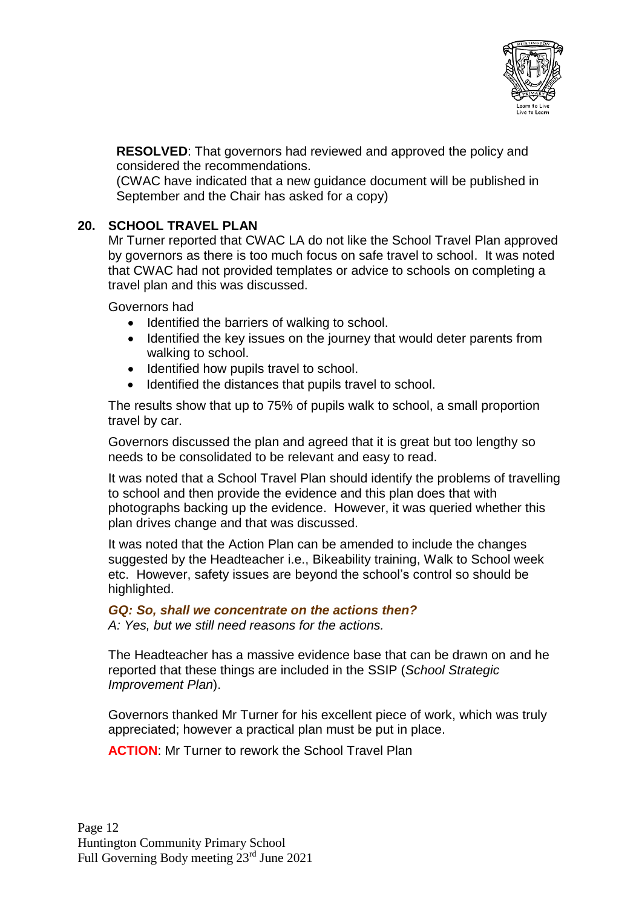

**RESOLVED**: That governors had reviewed and approved the policy and considered the recommendations.

(CWAC have indicated that a new guidance document will be published in September and the Chair has asked for a copy)

## **20. SCHOOL TRAVEL PLAN**

Mr Turner reported that CWAC LA do not like the School Travel Plan approved by governors as there is too much focus on safe travel to school. It was noted that CWAC had not provided templates or advice to schools on completing a travel plan and this was discussed.

Governors had

- Identified the barriers of walking to school.
- Identified the key issues on the journey that would deter parents from walking to school.
- Identified how pupils travel to school.
- Identified the distances that pupils travel to school.

The results show that up to 75% of pupils walk to school, a small proportion travel by car.

Governors discussed the plan and agreed that it is great but too lengthy so needs to be consolidated to be relevant and easy to read.

It was noted that a School Travel Plan should identify the problems of travelling to school and then provide the evidence and this plan does that with photographs backing up the evidence. However, it was queried whether this plan drives change and that was discussed.

It was noted that the Action Plan can be amended to include the changes suggested by the Headteacher i.e., Bikeability training, Walk to School week etc. However, safety issues are beyond the school's control so should be highlighted.

### *GQ: So, shall we concentrate on the actions then?*

*A: Yes, but we still need reasons for the actions.*

The Headteacher has a massive evidence base that can be drawn on and he reported that these things are included in the SSIP (*School Strategic Improvement Plan*).

Governors thanked Mr Turner for his excellent piece of work, which was truly appreciated; however a practical plan must be put in place.

**ACTION**: Mr Turner to rework the School Travel Plan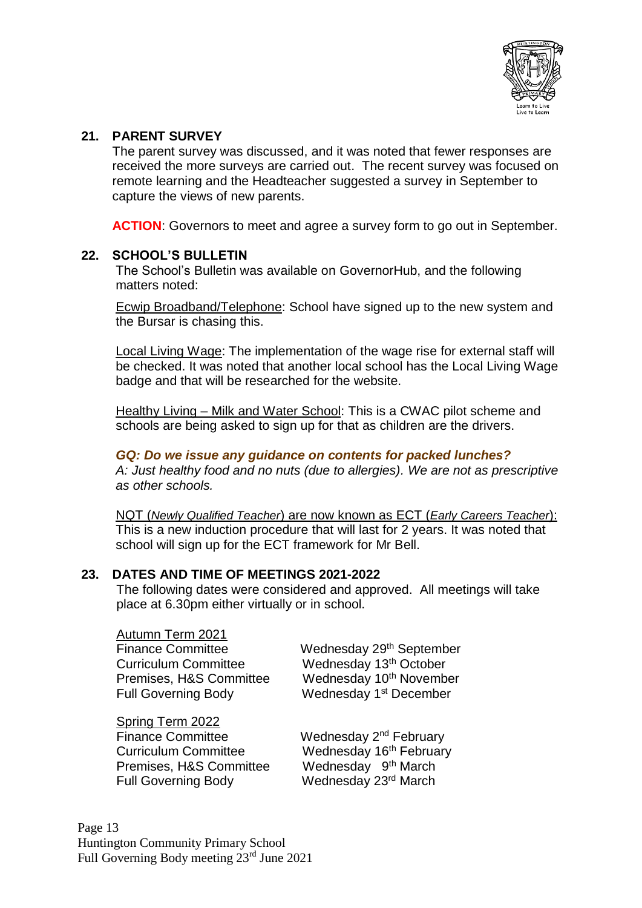

### **21. PARENT SURVEY**

The parent survey was discussed, and it was noted that fewer responses are received the more surveys are carried out. The recent survey was focused on remote learning and the Headteacher suggested a survey in September to capture the views of new parents.

**ACTION:** Governors to meet and agree a survey form to go out in September.

## **22. SCHOOL'S BULLETIN**

The School's Bulletin was available on GovernorHub, and the following matters noted:

Ecwip Broadband/Telephone: School have signed up to the new system and the Bursar is chasing this.

Local Living Wage: The implementation of the wage rise for external staff will be checked. It was noted that another local school has the Local Living Wage badge and that will be researched for the website.

Healthy Living – Milk and Water School: This is a CWAC pilot scheme and schools are being asked to sign up for that as children are the drivers.

### *GQ: Do we issue any guidance on contents for packed lunches?*

*A: Just healthy food and no nuts (due to allergies). We are not as prescriptive as other schools.*

NQT (*Newly Qualified Teacher*) are now known as ECT (*Early Careers Teacher*): This is a new induction procedure that will last for 2 years. It was noted that school will sign up for the ECT framework for Mr Bell.

# **23. DATES AND TIME OF MEETINGS 2021-2022**

The following dates were considered and approved. All meetings will take place at 6.30pm either virtually or in school.

Autumn Term 2021 Finance Committee Wednesday 29<sup>th</sup> September Curriculum Committee Wednesday 13th October Full Governing Body

Spring Term 2022 Finance Committee Premises, H&S Committee

Premises, H&S Committee Wednesday 10<sup>th</sup> November Wednesday 1<sup>st</sup> December

Wednesday 2<sup>nd</sup> February Curriculum Committee Wednesday 16<sup>th</sup> February Wednesday 9<sup>th</sup> March Full Governing Body Wednesday 23rd March